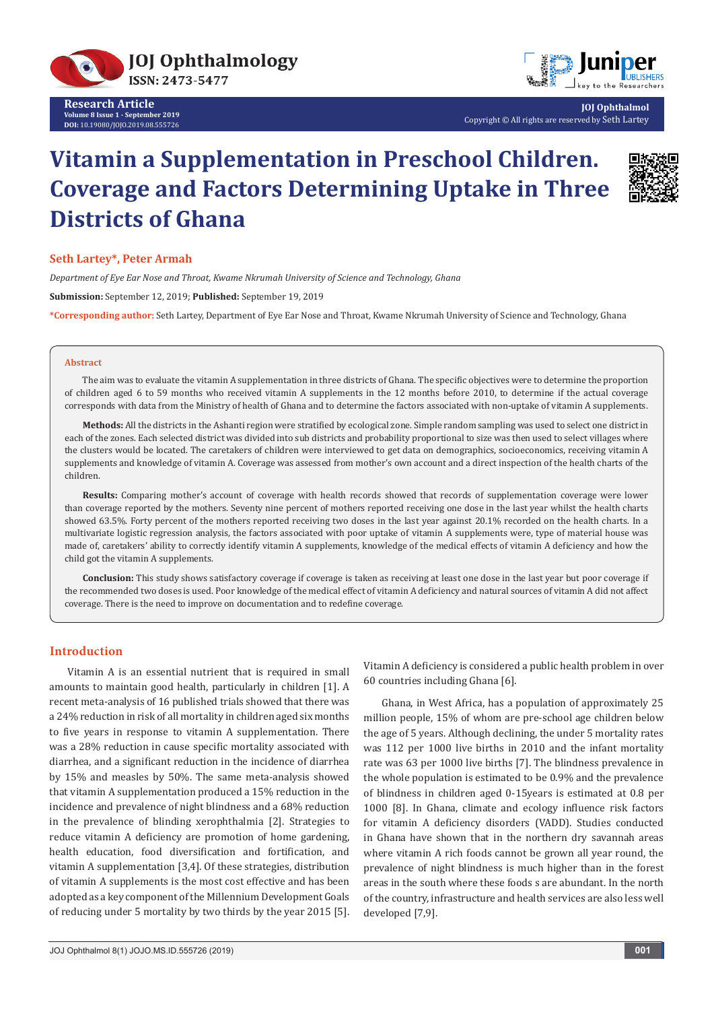



**JOJ Ophthalmol** Copyright © All rights are reserved by Seth Lartey

# **Vitamin a Supplementation in Preschool Children. Coverage and Factors Determining Uptake in Three Districts of Ghana**



## **Seth Lartey\*, Peter Armah**

*Department of Eye Ear Nose and Throat, Kwame Nkrumah University of Science and Technology, Ghana* **Submission:** September 12, 2019; **Published:** September 19, 2019 **\*Corresponding author:** Seth Lartey, Department of Eye Ear Nose and Throat, Kwame Nkrumah University of Science and Technology, Ghana

#### **Abstract**

The aim was to evaluate the vitamin A supplementation in three districts of Ghana. The specific objectives were to determine the proportion of children aged 6 to 59 months who received vitamin A supplements in the 12 months before 2010, to determine if the actual coverage corresponds with data from the Ministry of health of Ghana and to determine the factors associated with non-uptake of vitamin A supplements.

**Methods:** All the districts in the Ashanti region were stratified by ecological zone. Simple random sampling was used to select one district in each of the zones. Each selected district was divided into sub districts and probability proportional to size was then used to select villages where the clusters would be located. The caretakers of children were interviewed to get data on demographics, socioeconomics, receiving vitamin A supplements and knowledge of vitamin A. Coverage was assessed from mother's own account and a direct inspection of the health charts of the children.

**Results:** Comparing mother's account of coverage with health records showed that records of supplementation coverage were lower than coverage reported by the mothers. Seventy nine percent of mothers reported receiving one dose in the last year whilst the health charts showed 63.5%. Forty percent of the mothers reported receiving two doses in the last year against 20.1% recorded on the health charts. In a multivariate logistic regression analysis, the factors associated with poor uptake of vitamin A supplements were, type of material house was made of, caretakers' ability to correctly identify vitamin A supplements, knowledge of the medical effects of vitamin A deficiency and how the child got the vitamin A supplements.

**Conclusion:** This study shows satisfactory coverage if coverage is taken as receiving at least one dose in the last year but poor coverage if the recommended two doses is used. Poor knowledge of the medical effect of vitamin A deficiency and natural sources of vitamin A did not affect coverage. There is the need to improve on documentation and to redefine coverage.

## **Introduction**

Vitamin A is an essential nutrient that is required in small amounts to maintain good health, particularly in children [1]. A recent meta-analysis of 16 published trials showed that there was a 24% reduction in risk of all mortality in children aged six months to five years in response to vitamin A supplementation. There was a 28% reduction in cause specific mortality associated with diarrhea, and a significant reduction in the incidence of diarrhea by 15% and measles by 50%. The same meta-analysis showed that vitamin A supplementation produced a 15% reduction in the incidence and prevalence of night blindness and a 68% reduction in the prevalence of blinding xerophthalmia [2]. Strategies to reduce vitamin A deficiency are promotion of home gardening, health education, food diversification and fortification, and vitamin A supplementation [3,4]. Of these strategies, distribution of vitamin A supplements is the most cost effective and has been adopted as a key component of the Millennium Development Goals of reducing under 5 mortality by two thirds by the year 2015 [5]. Vitamin A deficiency is considered a public health problem in over 60 countries including Ghana [6].

Ghana, in West Africa, has a population of approximately 25 million people, 15% of whom are pre-school age children below the age of 5 years. Although declining, the under 5 mortality rates was 112 per 1000 live births in 2010 and the infant mortality rate was 63 per 1000 live births [7]. The blindness prevalence in the whole population is estimated to be 0.9% and the prevalence of blindness in children aged 0-15years is estimated at 0.8 per 1000 [8]. In Ghana, climate and ecology influence risk factors for vitamin A deficiency disorders (VADD). Studies conducted in Ghana have shown that in the northern dry savannah areas where vitamin A rich foods cannot be grown all year round, the prevalence of night blindness is much higher than in the forest areas in the south where these foods s are abundant. In the north of the country, infrastructure and health services are also less well developed [7,9].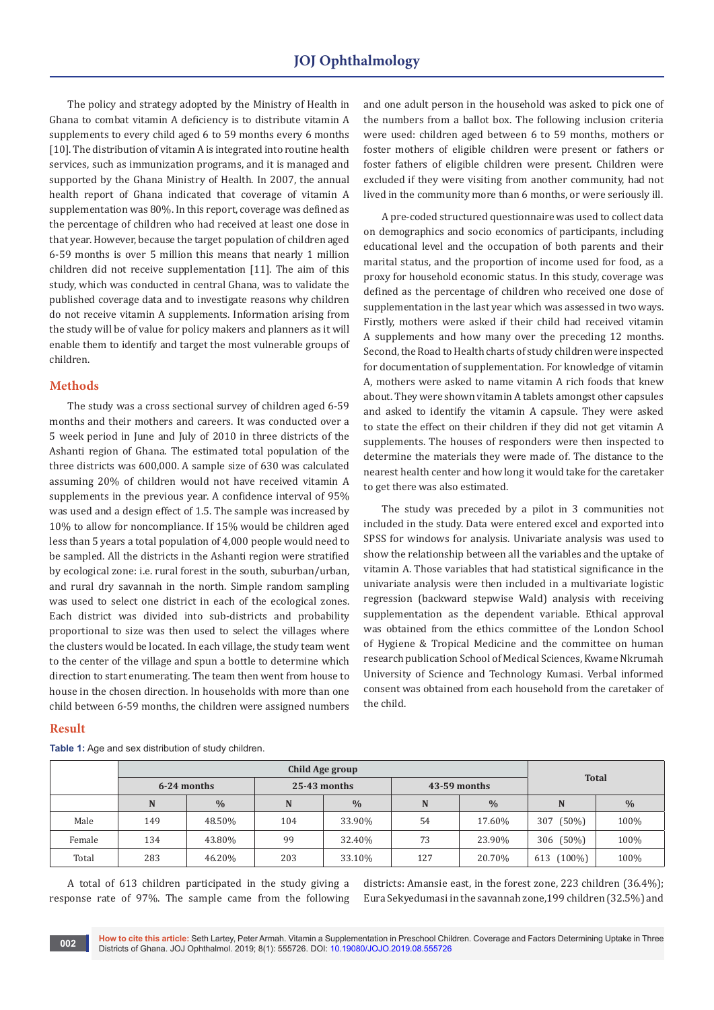The policy and strategy adopted by the Ministry of Health in Ghana to combat vitamin A deficiency is to distribute vitamin A supplements to every child aged 6 to 59 months every 6 months [10]. The distribution of vitamin A is integrated into routine health services, such as immunization programs, and it is managed and supported by the Ghana Ministry of Health. In 2007, the annual health report of Ghana indicated that coverage of vitamin A supplementation was 80%. In this report, coverage was defined as the percentage of children who had received at least one dose in that year. However, because the target population of children aged 6-59 months is over 5 million this means that nearly 1 million children did not receive supplementation [11]. The aim of this study, which was conducted in central Ghana, was to validate the published coverage data and to investigate reasons why children do not receive vitamin A supplements. Information arising from the study will be of value for policy makers and planners as it will enable them to identify and target the most vulnerable groups of children.

## **Methods**

The study was a cross sectional survey of children aged 6-59 months and their mothers and careers. It was conducted over a 5 week period in June and July of 2010 in three districts of the Ashanti region of Ghana. The estimated total population of the three districts was 600,000. A sample size of 630 was calculated assuming 20% of children would not have received vitamin A supplements in the previous year. A confidence interval of 95% was used and a design effect of 1.5. The sample was increased by 10% to allow for noncompliance. If 15% would be children aged less than 5 years a total population of 4,000 people would need to be sampled. All the districts in the Ashanti region were stratified by ecological zone: i.e. rural forest in the south, suburban/urban, and rural dry savannah in the north. Simple random sampling was used to select one district in each of the ecological zones. Each district was divided into sub-districts and probability proportional to size was then used to select the villages where the clusters would be located. In each village, the study team went to the center of the village and spun a bottle to determine which direction to start enumerating. The team then went from house to house in the chosen direction. In households with more than one child between 6-59 months, the children were assigned numbers

### **Result**

**Table 1:** Age and sex distribution of study children.

and one adult person in the household was asked to pick one of the numbers from a ballot box. The following inclusion criteria were used: children aged between 6 to 59 months, mothers or foster mothers of eligible children were present or fathers or foster fathers of eligible children were present. Children were excluded if they were visiting from another community, had not lived in the community more than 6 months, or were seriously ill.

A pre-coded structured questionnaire was used to collect data on demographics and socio economics of participants, including educational level and the occupation of both parents and their marital status, and the proportion of income used for food, as a proxy for household economic status. In this study, coverage was defined as the percentage of children who received one dose of supplementation in the last year which was assessed in two ways. Firstly, mothers were asked if their child had received vitamin A supplements and how many over the preceding 12 months. Second, the Road to Health charts of study children were inspected for documentation of supplementation. For knowledge of vitamin A, mothers were asked to name vitamin A rich foods that knew about. They were shown vitamin A tablets amongst other capsules and asked to identify the vitamin A capsule. They were asked to state the effect on their children if they did not get vitamin A supplements. The houses of responders were then inspected to determine the materials they were made of. The distance to the nearest health center and how long it would take for the caretaker to get there was also estimated.

The study was preceded by a pilot in 3 communities not included in the study. Data were entered excel and exported into SPSS for windows for analysis. Univariate analysis was used to show the relationship between all the variables and the uptake of vitamin A. Those variables that had statistical significance in the univariate analysis were then included in a multivariate logistic regression (backward stepwise Wald) analysis with receiving supplementation as the dependent variable. Ethical approval was obtained from the ethics committee of the London School of Hygiene & Tropical Medicine and the committee on human research publication School of Medical Sciences, Kwame Nkrumah University of Science and Technology Kumasi. Verbal informed consent was obtained from each household from the caretaker of the child.

|        | <b>Child Age group</b> |               |                |               |                |               | <b>Total</b>    |               |
|--------|------------------------|---------------|----------------|---------------|----------------|---------------|-----------------|---------------|
|        | 6-24 months            |               | $25-43$ months |               | $43-59$ months |               |                 |               |
|        | N                      | $\frac{0}{0}$ | N              | $\frac{0}{0}$ | N              | $\frac{0}{0}$ | N               | $\frac{0}{0}$ |
| Male   | 149                    | 48.50%        | 104            | 33.90%        | 54             | 17.60%        | $(50\%)$<br>307 | 100%          |
| Female | 134                    | 43.80%        | 99             | 32.40%        | 73             | 23.90%        | 306 (50%)       | 100%          |
| Total  | 283                    | 46.20%        | 203            | 33.10%        | 127            | 20.70%        | 613 (100%)      | 100%          |

A total of 613 children participated in the study giving a response rate of 97%. The sample came from the following districts: Amansie east, in the forest zone, 223 children (36.4%); Eura Sekyedumasi in the savannah zone,199 children (32.5%) and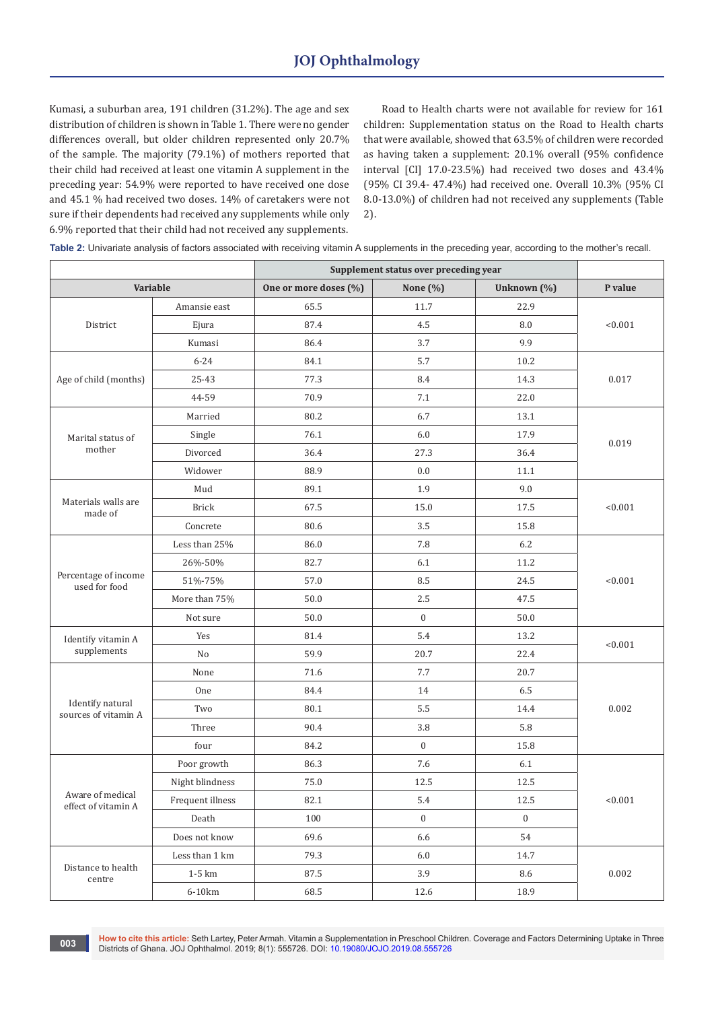Kumasi, a suburban area, 191 children (31.2%). The age and sex distribution of children is shown in Table 1. There were no gender differences overall, but older children represented only 20.7% of the sample. The majority (79.1%) of mothers reported that their child had received at least one vitamin A supplement in the preceding year: 54.9% were reported to have received one dose and 45.1 % had received two doses. 14% of caretakers were not sure if their dependents had received any supplements while only 6.9% reported that their child had not received any supplements.

Road to Health charts were not available for review for 161 children: Supplementation status on the Road to Health charts that were available, showed that 63.5% of children were recorded as having taken a supplement: 20.1% overall (95% confidence interval [CI] 17.0-23.5%) had received two doses and 43.4% (95% CI 39.4- 47.4%) had received one. Overall 10.3% (95% CI 8.0-13.0%) of children had not received any supplements (Table 2).

**Table 2:** Univariate analysis of factors associated with receiving vitamin A supplements in the preceding year, according to the mother's recall.

|                                          |                  | Supplement status over preceding year |                  |              |         |  |
|------------------------------------------|------------------|---------------------------------------|------------------|--------------|---------|--|
| Variable                                 |                  | One or more doses (%)                 | None $(\%)$      | Unknown (%)  | P value |  |
| District                                 | Amansie east     | 65.5                                  | 11.7             | 22.9         |         |  |
|                                          | Ejura            | 87.4                                  | 4.5              | 8.0          | < 0.001 |  |
|                                          | Kumasi           | 86.4                                  | 3.7              | 9.9          |         |  |
|                                          | $6 - 24$         | 84.1                                  | 5.7              | 10.2         |         |  |
| Age of child (months)                    | 25-43            | 77.3                                  | 8.4              | 14.3         | 0.017   |  |
|                                          | 44-59            | 70.9                                  | 7.1              | 22.0         |         |  |
|                                          | Married          | 80.2                                  | 6.7              | 13.1         | 0.019   |  |
| Marital status of                        | Single           | 76.1                                  | 6.0              | 17.9         |         |  |
| mother                                   | Divorced         | 36.4                                  | 27.3             | 36.4         |         |  |
|                                          | Widower          | 88.9                                  | 0.0              | 11.1         |         |  |
|                                          | Mud              | 89.1                                  | 1.9              | 9.0          | < 0.001 |  |
| Materials walls are<br>made of           | <b>Brick</b>     | 67.5                                  | 15.0             | 17.5         |         |  |
|                                          | Concrete         | 80.6                                  | 3.5              | 15.8         |         |  |
|                                          | Less than 25%    | 86.0                                  | 7.8              | 6.2          |         |  |
|                                          | 26%-50%          | 82.7                                  | 6.1              | 11.2         |         |  |
| Percentage of income<br>used for food    | 51%-75%          | 57.0                                  | 8.5              | 24.5         | < 0.001 |  |
|                                          | More than 75%    | 50.0                                  | 2.5              | 47.5         |         |  |
|                                          | Not sure         | 50.0                                  | $\overline{0}$   | 50.0         |         |  |
| Identify vitamin A                       | Yes              | 81.4                                  | 5.4              | 13.2         | < 0.001 |  |
| supplements                              | No               | 59.9                                  | 20.7             | 22.4         |         |  |
|                                          | None             | 71.6                                  | 7.7              | 20.7         | 0.002   |  |
|                                          | <b>One</b>       | 84.4                                  | 14               | 6.5          |         |  |
| Identify natural<br>sources of vitamin A | Two              | 80.1                                  | 5.5              | 14.4         |         |  |
|                                          | Three            | 90.4                                  | 3.8              | 5.8          |         |  |
|                                          | four             | 84.2                                  | $\boldsymbol{0}$ | 15.8         |         |  |
|                                          | Poor growth      | 86.3                                  | 7.6              | 6.1          | < 0.001 |  |
|                                          | Night blindness  | 75.0                                  | 12.5             | 12.5         |         |  |
| Aware of medical<br>effect of vitamin A  | Frequent illness | $82.1\,$                              | 5.4              | 12.5         |         |  |
|                                          | Death            | 100                                   | $\overline{0}$   | $\mathbf{0}$ |         |  |
|                                          | Does not know    | 69.6                                  | 6.6              | 54           |         |  |
|                                          | Less than 1 km   | 79.3                                  | 6.0              | 14.7         | 0.002   |  |
| Distance to health<br>centre             | $1-5$ km         | 87.5                                  | 3.9              | 8.6          |         |  |
|                                          | $6-10km$         | 68.5                                  | 12.6             | 18.9         |         |  |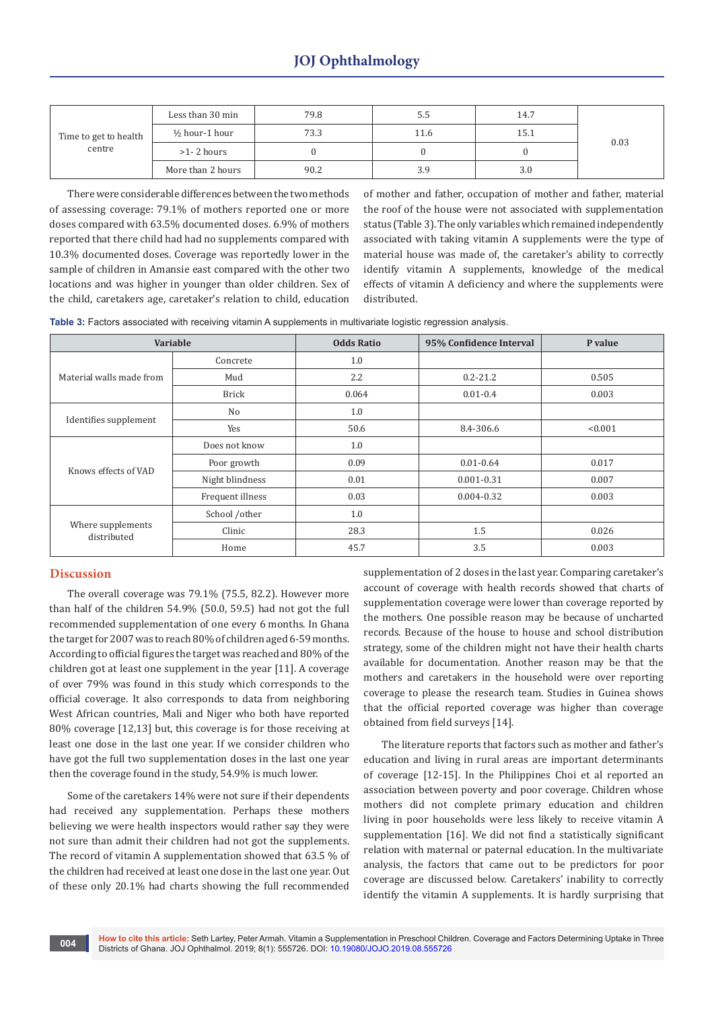|                       | Less than 30 min          | 79.8 | 5.5  | 14.7 |      |  |
|-----------------------|---------------------------|------|------|------|------|--|
| Time to get to health | $\frac{1}{2}$ hour-1 hour | 73.3 | 11.6 | 15.1 | 0.03 |  |
| centre                | $>1-2$ hours              |      |      |      |      |  |
|                       | More than 2 hours         | 90.2 | 3.9  | 3.0  |      |  |

There were considerable differences between the two methods of assessing coverage: 79.1% of mothers reported one or more doses compared with 63.5% documented doses. 6.9% of mothers reported that there child had had no supplements compared with 10.3% documented doses. Coverage was reportedly lower in the sample of children in Amansie east compared with the other two locations and was higher in younger than older children. Sex of the child, caretakers age, caretaker's relation to child, education

of mother and father, occupation of mother and father, material the roof of the house were not associated with supplementation status (Table 3). The only variables which remained independently associated with taking vitamin A supplements were the type of material house was made of, the caretaker's ability to correctly identify vitamin A supplements, knowledge of the medical effects of vitamin A deficiency and where the supplements were distributed.

**Table 3:** Factors associated with receiving vitamin A supplements in multivariate logistic regression analysis.

|                                  | Variable         | <b>Odds Ratio</b> | 95% Confidence Interval | P value |
|----------------------------------|------------------|-------------------|-------------------------|---------|
|                                  | Concrete         | 1.0               |                         |         |
| Material walls made from         | Mud              | $2.2\phantom{0}$  | $0.2 - 21.2$            | 0.505   |
|                                  | <b>Brick</b>     | 0.064             | $0.01 - 0.4$            | 0.003   |
| Identifies supplement            | No               | 1.0               |                         |         |
|                                  | Yes              | 50.6              | 8.4-306.6               | < 0.001 |
|                                  | Does not know    | 1.0               |                         |         |
| Knows effects of VAD             | Poor growth      | 0.09              | $0.01 - 0.64$           | 0.017   |
|                                  | Night blindness  | 0.01              | $0.001 - 0.31$          | 0.007   |
|                                  | Frequent illness | 0.03              | $0.004 - 0.32$          | 0.003   |
|                                  | School /other    | 1.0               |                         |         |
| Where supplements<br>distributed | Clinic           | 28.3              | 1.5                     | 0.026   |
|                                  | Home             | 45.7              | 3.5                     | 0.003   |

## **Discussion**

The overall coverage was 79.1% (75.5, 82.2). However more than half of the children 54.9% (50.0, 59.5) had not got the full recommended supplementation of one every 6 months. In Ghana the target for 2007 was to reach 80% of children aged 6-59 months. According to official figures the target was reached and 80% of the children got at least one supplement in the year [11]. A coverage of over 79% was found in this study which corresponds to the official coverage. It also corresponds to data from neighboring West African countries, Mali and Niger who both have reported 80% coverage [12,13] but, this coverage is for those receiving at least one dose in the last one year. If we consider children who have got the full two supplementation doses in the last one year then the coverage found in the study, 54.9% is much lower.

Some of the caretakers 14% were not sure if their dependents had received any supplementation. Perhaps these mothers believing we were health inspectors would rather say they were not sure than admit their children had not got the supplements. The record of vitamin A supplementation showed that 63.5 % of the children had received at least one dose in the last one year. Out of these only 20.1% had charts showing the full recommended

supplementation of 2 doses in the last year. Comparing caretaker's account of coverage with health records showed that charts of supplementation coverage were lower than coverage reported by the mothers. One possible reason may be because of uncharted records. Because of the house to house and school distribution strategy, some of the children might not have their health charts available for documentation. Another reason may be that the mothers and caretakers in the household were over reporting coverage to please the research team. Studies in Guinea shows that the official reported coverage was higher than coverage obtained from field surveys [14].

The literature reports that factors such as mother and father's education and living in rural areas are important determinants of coverage [12-15]. In the Philippines Choi et al reported an association between poverty and poor coverage. Children whose mothers did not complete primary education and children living in poor households were less likely to receive vitamin A supplementation [16]. We did not find a statistically significant relation with maternal or paternal education. In the multivariate analysis, the factors that came out to be predictors for poor coverage are discussed below. Caretakers' inability to correctly identify the vitamin A supplements. It is hardly surprising that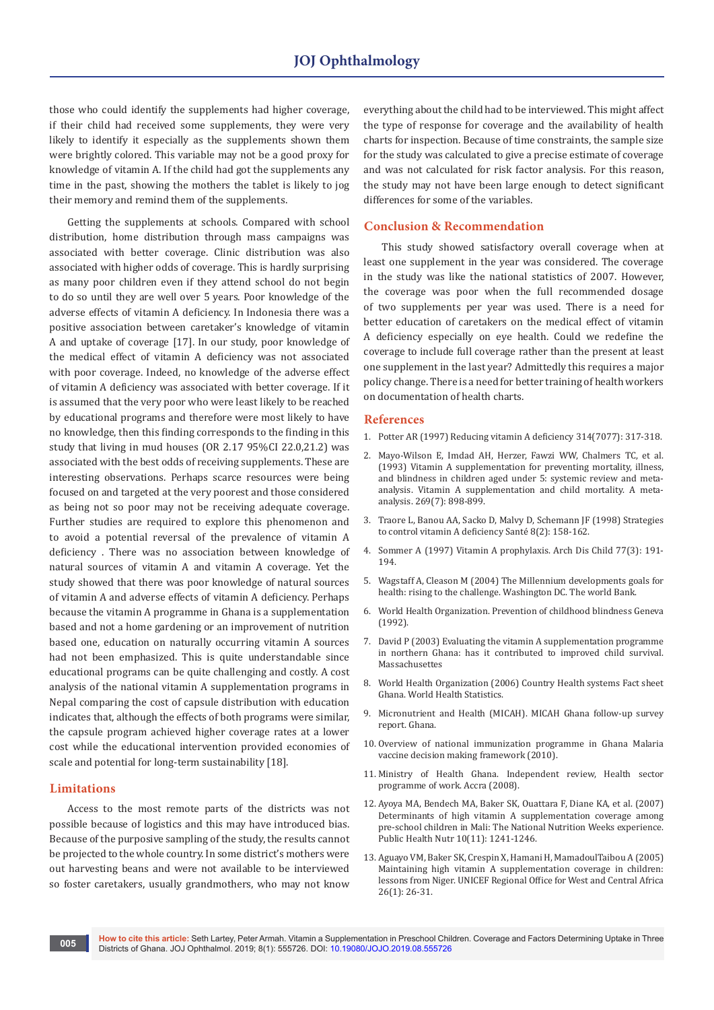those who could identify the supplements had higher coverage, if their child had received some supplements, they were very likely to identify it especially as the supplements shown them were brightly colored. This variable may not be a good proxy for knowledge of vitamin A. If the child had got the supplements any time in the past, showing the mothers the tablet is likely to jog their memory and remind them of the supplements.

Getting the supplements at schools. Compared with school distribution, home distribution through mass campaigns was associated with better coverage. Clinic distribution was also associated with higher odds of coverage. This is hardly surprising as many poor children even if they attend school do not begin to do so until they are well over 5 years. Poor knowledge of the adverse effects of vitamin A deficiency. In Indonesia there was a positive association between caretaker's knowledge of vitamin A and uptake of coverage [17]. In our study, poor knowledge of the medical effect of vitamin A deficiency was not associated with poor coverage. Indeed, no knowledge of the adverse effect of vitamin A deficiency was associated with better coverage. If it is assumed that the very poor who were least likely to be reached by educational programs and therefore were most likely to have no knowledge, then this finding corresponds to the finding in this study that living in mud houses (OR 2.17 95%CI 22.0,21.2) was associated with the best odds of receiving supplements. These are interesting observations. Perhaps scarce resources were being focused on and targeted at the very poorest and those considered as being not so poor may not be receiving adequate coverage. Further studies are required to explore this phenomenon and to avoid a potential reversal of the prevalence of vitamin A deficiency . There was no association between knowledge of natural sources of vitamin A and vitamin A coverage. Yet the study showed that there was poor knowledge of natural sources of vitamin A and adverse effects of vitamin A deficiency. Perhaps because the vitamin A programme in Ghana is a supplementation based and not a home gardening or an improvement of nutrition based one, education on naturally occurring vitamin A sources had not been emphasized. This is quite understandable since educational programs can be quite challenging and costly. A cost analysis of the national vitamin A supplementation programs in Nepal comparing the cost of capsule distribution with education indicates that, although the effects of both programs were similar, the capsule program achieved higher coverage rates at a lower cost while the educational intervention provided economies of scale and potential for long-term sustainability [18].

## **Limitations**

Access to the most remote parts of the districts was not possible because of logistics and this may have introduced bias. Because of the purposive sampling of the study, the results cannot be projected to the whole country. In some district's mothers were out harvesting beans and were not available to be interviewed so foster caretakers, usually grandmothers, who may not know

everything about the child had to be interviewed. This might affect the type of response for coverage and the availability of health charts for inspection. Because of time constraints, the sample size for the study was calculated to give a precise estimate of coverage and was not calculated for risk factor analysis. For this reason, the study may not have been large enough to detect significant differences for some of the variables.

#### **Conclusion & Recommendation**

This study showed satisfactory overall coverage when at least one supplement in the year was considered. The coverage in the study was like the national statistics of 2007. However, the coverage was poor when the full recommended dosage of two supplements per year was used. There is a need for better education of caretakers on the medical effect of vitamin A deficiency especially on eye health. Could we redefine the coverage to include full coverage rather than the present at least one supplement in the last year? Admittedly this requires a major policy change. There is a need for better training of health workers on documentation of health charts.

#### **References**

- 1. [Potter AR \(1997\) Reducing vitamin A deficiency 314\(7077\): 317-318.](https://www.ncbi.nlm.nih.gov/pubmed/9040312)
- 2. [Mayo-Wilson E, Imdad AH, Herzer, Fawzi WW, Chalmers TC, et al.](https://www.ncbi.nlm.nih.gov/pubmed/8426449)  [\(1993\) Vitamin A supplementation for preventing mortality, illness,](https://www.ncbi.nlm.nih.gov/pubmed/8426449)  [and blindness in children aged under 5: systemic review and meta](https://www.ncbi.nlm.nih.gov/pubmed/8426449)[analysis. Vitamin A supplementation and child mortality. A meta](https://www.ncbi.nlm.nih.gov/pubmed/8426449)[analysis. 269\(7\): 898-899.](https://www.ncbi.nlm.nih.gov/pubmed/8426449)
- 3. [Traore L, Banou AA, Sacko D, Malvy D, Schemann JF \(1998\) Strategies](https://www.ncbi.nlm.nih.gov/pubmed/9642744)  [to control vitamin A deficiency Santé 8\(2\): 158-162.](https://www.ncbi.nlm.nih.gov/pubmed/9642744)
- 4. [Sommer A \(1997\) Vitamin A prophylaxis. Arch Dis Child 77\(3\): 191-](https://adc.bmj.com/content/77/3/191) [194.](https://adc.bmj.com/content/77/3/191)
- 5. Wagstaff A, Cleason M (2004) The Millennium developments goals for health: rising to the challenge. Washington DC. The world Bank.
- 6. World Health Organization. Prevention of childhood blindness Geneva (1992).
- 7. David P (2003) Evaluating the vitamin A supplementation programme in northern Ghana: has it contributed to improved child survival. Massachusettes
- 8. World Health Organization (2006) Country Health systems Fact sheet Ghana. World Health Statistics.
- 9. Micronutrient and Health (MICAH). MICAH Ghana follow-up survey report. Ghana.
- 10. Overview of national immunization programme in Ghana Malaria vaccine decision making framework (2010).
- 11. Ministry of Health Ghana. Independent review, Health sector programme of work. Accra (2008).
- 12. [Ayoya MA, Bendech MA, Baker SK, Ouattara F, Diane KA, et al. \(2007\)](https://www.ncbi.nlm.nih.gov/pubmed/17381941)  [Determinants of high vitamin A supplementation coverage among](https://www.ncbi.nlm.nih.gov/pubmed/17381941)  [pre-school children in Mali: The National Nutrition Weeks experience.](https://www.ncbi.nlm.nih.gov/pubmed/17381941)  [Public Health Nutr 10\(11\): 1241-1246.](https://www.ncbi.nlm.nih.gov/pubmed/17381941)
- 13. [Aguayo VM, Baker SK, Crespin X, Hamani H, MamadoulTaibou A \(2005\)](https://www.ncbi.nlm.nih.gov/pubmed/15810796)  [Maintaining high vitamin A supplementation coverage in children:](https://www.ncbi.nlm.nih.gov/pubmed/15810796)  [lessons from Niger. UNICEF Regional Office for West and Central Africa](https://www.ncbi.nlm.nih.gov/pubmed/15810796)  [26\(1\): 26-31.](https://www.ncbi.nlm.nih.gov/pubmed/15810796)